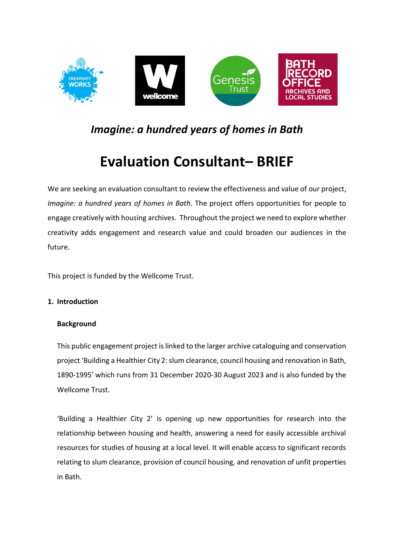

# *Imagine: a hundred years of homes in Bath*

# **Evaluation Consultant– BRIEF**

We are seeking an evaluation consultant to review the effectiveness and value of our project, *Imagine: a hundred years of homes in Bath*. The project offers opportunities for people to engage creatively with housing archives. Throughout the project we need to explore whether creativity adds engagement and research value and could broaden our audiences in the future.

This project is funded by the Wellcome Trust.

# **1. Introduction**

# **Background**

This public engagement project is linked to the larger archive cataloguing and conservation project 'Building a Healthier City 2: slum clearance, council housing and renovation in Bath, 1890-1995' which runs from 31 December 2020-30 August 2023 and is also funded by the Wellcome Trust.

'Building a Healthier City 2' is opening up new opportunities for research into the relationship between housing and health, answering a need for easily accessible archival resources for studies of housing at a local level. It will enable access to significant records relating to slum clearance, provision of council housing, and renovation of unfit properties in Bath.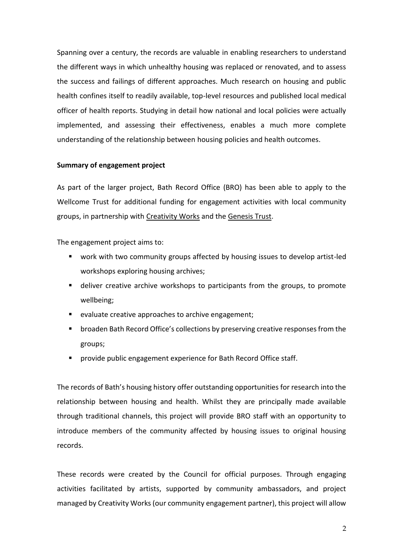Spanning over a century, the records are valuable in enabling researchers to understand the different ways in which unhealthy housing was replaced or renovated, and to assess the success and failings of different approaches. Much research on housing and public health confines itself to readily available, top-level resources and published local medical officer of health reports. Studying in detail how national and local policies were actually implemented, and assessing their effectiveness, enables a much more complete understanding of the relationship between housing policies and health outcomes.

#### **Summary of engagement project**

As part of the larger project, Bath Record Office (BRO) has been able to apply to the Wellcome Trust for additional funding for engagement activities with local community groups, in partnership with [Creativity Works](https://www.creativityworks.org.uk/) and the [Genesis Trust.](https://genesistrust.org.uk/)

The engagement project aims to:

- work with two community groups affected by housing issues to develop artist-led workshops exploring housing archives;
- deliver creative archive workshops to participants from the groups, to promote wellbeing;
- evaluate creative approaches to archive engagement;
- broaden Bath Record Office's collections by preserving creative responses from the groups;
- provide public engagement experience for Bath Record Office staff.

The records of Bath's housing history offer outstanding opportunities for research into the relationship between housing and health. Whilst they are principally made available through traditional channels, this project will provide BRO staff with an opportunity to introduce members of the community affected by housing issues to original housing records.

These records were created by the Council for official purposes. Through engaging activities facilitated by artists, supported by community ambassadors, and project managed by Creativity Works (our community engagement partner), this project will allow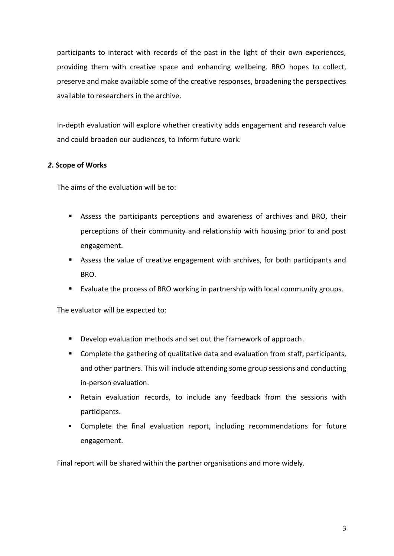participants to interact with records of the past in the light of their own experiences, providing them with creative space and enhancing wellbeing. BRO hopes to collect, preserve and make available some of the creative responses, broadening the perspectives available to researchers in the archive.

In-depth evaluation will explore whether creativity adds engagement and research value and could broaden our audiences, to inform future work.

# *2***. Scope of Works**

The aims of the evaluation will be to:

- Assess the participants perceptions and awareness of archives and BRO, their perceptions of their community and relationship with housing prior to and post engagement.
- Assess the value of creative engagement with archives, for both participants and BRO.
- Evaluate the process of BRO working in partnership with local community groups.

The evaluator will be expected to:

- Develop evaluation methods and set out the framework of approach.
- Complete the gathering of qualitative data and evaluation from staff, participants, and other partners. This will include attending some group sessions and conducting in-person evaluation.
- **EXECTE ADMOCRY EXECTE FIGHTS IN EXECTE THE RETAINI** Petain evaluation records, to include any feedback from the sessions with participants.
- Complete the final evaluation report, including recommendations for future engagement.

Final report will be shared within the partner organisations and more widely.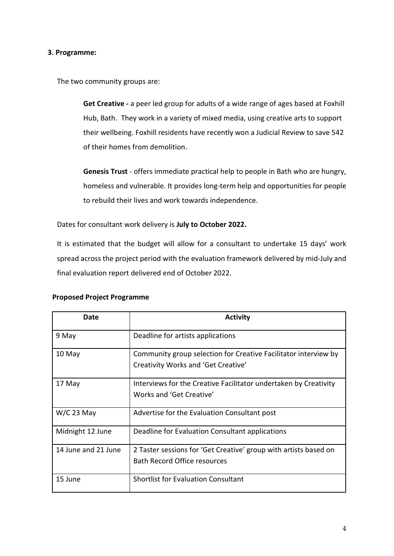#### **3. Programme:**

The two community groups are:

**Get Creative -** a peer led group for adults of a wide range of ages based at Foxhill Hub, Bath. They work in a variety of mixed media, using creative arts to support their wellbeing. Foxhill residents have recently won a Judicial Review to save 542 of their homes from demolition.

**Genesis Trust** - offers immediate practical help to people in Bath who are hungry, homeless and vulnerable. It provides long-term help and opportunities for people to rebuild their lives and work towards independence.

Dates for consultant work delivery is **July to October 2022.**

It is estimated that the budget will allow for a consultant to undertake 15 days' work spread across the project period with the evaluation framework delivered by mid-July and final evaluation report delivered end of October 2022.

| Date                | <b>Activity</b>                                                                                         |
|---------------------|---------------------------------------------------------------------------------------------------------|
| 9 May               | Deadline for artists applications                                                                       |
| 10 May              | Community group selection for Creative Facilitator interview by<br>Creativity Works and 'Get Creative'  |
| 17 May              | Interviews for the Creative Facilitator undertaken by Creativity<br>Works and 'Get Creative'            |
| $W/C$ 23 May        | Advertise for the Evaluation Consultant post                                                            |
| Midnight 12 June    | Deadline for Evaluation Consultant applications                                                         |
| 14 June and 21 June | 2 Taster sessions for 'Get Creative' group with artists based on<br><b>Bath Record Office resources</b> |
| 15 June             | <b>Shortlist for Evaluation Consultant</b>                                                              |

#### **Proposed Project Programme**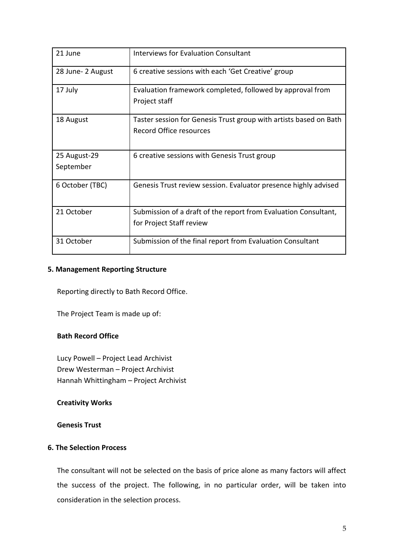| 21 June                   | Interviews for Evaluation Consultant                                                                |
|---------------------------|-----------------------------------------------------------------------------------------------------|
| 28 June-2 August          | 6 creative sessions with each 'Get Creative' group                                                  |
| 17 July                   | Evaluation framework completed, followed by approval from<br>Project staff                          |
| 18 August                 | Taster session for Genesis Trust group with artists based on Bath<br><b>Record Office resources</b> |
| 25 August-29<br>September | 6 creative sessions with Genesis Trust group                                                        |
| 6 October (TBC)           | Genesis Trust review session. Evaluator presence highly advised                                     |
| 21 October                | Submission of a draft of the report from Evaluation Consultant,<br>for Project Staff review         |
| 31 October                | Submission of the final report from Evaluation Consultant                                           |

#### **5. Management Reporting Structure**

Reporting directly to Bath Record Office.

The Project Team is made up of:

# **Bath Record Office**

Lucy Powell – Project Lead Archivist Drew Westerman – Project Archivist Hannah Whittingham – Project Archivist

#### **Creativity Works**

#### **Genesis Trust**

#### **6. The Selection Process**

The consultant will not be selected on the basis of price alone as many factors will affect the success of the project. The following, in no particular order, will be taken into consideration in the selection process.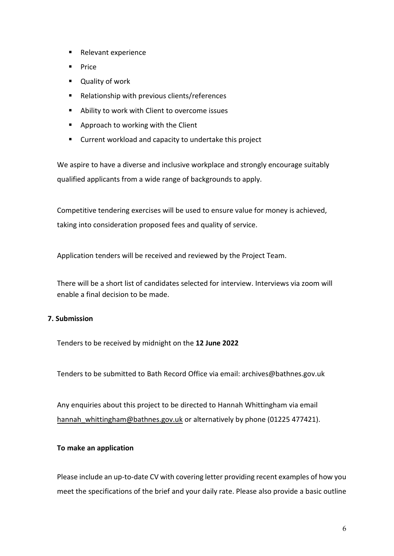- Relevant experience
- Price
- Quality of work
- Relationship with previous clients/references
- Ability to work with Client to overcome issues
- Approach to working with the Client
- Current workload and capacity to undertake this project

We aspire to have a diverse and inclusive workplace and strongly encourage suitably qualified applicants from a wide range of backgrounds to apply.

Competitive tendering exercises will be used to ensure value for money is achieved, taking into consideration proposed fees and quality of service.

Application tenders will be received and reviewed by the Project Team.

There will be a short list of candidates selected for interview. Interviews via zoom will enable a final decision to be made.

# **7. Submission**

Tenders to be received by midnight on the **12 June 2022**

Tenders to be submitted to Bath Record Office via email: archives@bathnes.gov.uk

Any enquiries about this project to be directed to Hannah Whittingham via email hannah whittingham@bathnes.gov.uk or alternatively by phone (01225 477421).

#### **To make an application**

Please include an up-to-date CV with covering letter providing recent examples of how you meet the specifications of the brief and your daily rate. Please also provide a basic outline